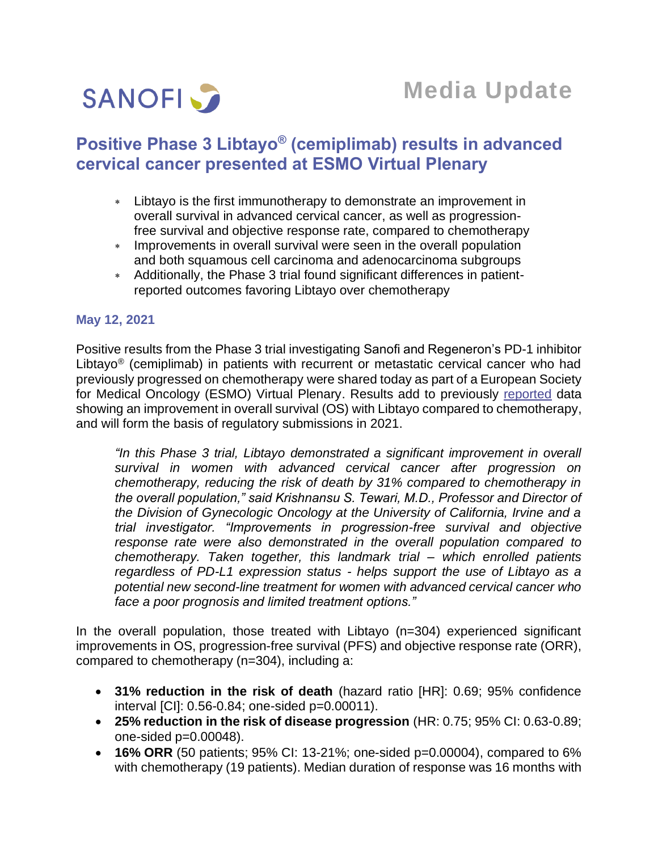

# **Positive Phase 3 Libtayo® (cemiplimab) results in advanced cervical cancer presented at ESMO Virtual Plenary**

- Libtayo is the first immunotherapy to demonstrate an improvement in overall survival in advanced cervical cancer, as well as progressionfree survival and objective response rate, compared to chemotherapy
- Improvements in overall survival were seen in the overall population and both squamous cell carcinoma and adenocarcinoma subgroups
- Additionally, the Phase 3 trial found significant differences in patientreported outcomes favoring Libtayo over chemotherapy

# **May 12, 2021**

Positive results from the Phase 3 trial investigating Sanofi and Regeneron's PD-1 inhibitor Libtayo<sup>®</sup> (cemiplimab) in patients with recurrent or metastatic cervical cancer who had previously progressed on chemotherapy were shared today as part of a European Society for Medical Oncology (ESMO) Virtual Plenary. Results add to previously [reported](https://investor.regeneron.com/news-releases/news-release-details/phase-3-trial-libtayor-cemiplimab-monotherapy-advanced-cervical) data showing an improvement in overall survival (OS) with Libtayo compared to chemotherapy, and will form the basis of regulatory submissions in 2021.

*"In this Phase 3 trial, Libtayo demonstrated a significant improvement in overall survival in women with advanced cervical cancer after progression on chemotherapy, reducing the risk of death by 31% compared to chemotherapy in the overall population," said Krishnansu S. Tewari, M.D., Professor and Director of the Division of Gynecologic Oncology at the University of California, Irvine and a trial investigator. "Improvements in progression-free survival and objective response rate were also demonstrated in the overall population compared to chemotherapy. Taken together, this landmark trial – which enrolled patients regardless of PD-L1 expression status - helps support the use of Libtayo as a potential new second-line treatment for women with advanced cervical cancer who face a poor prognosis and limited treatment options."*

In the overall population, those treated with Libtayo (n=304) experienced significant improvements in OS, progression-free survival (PFS) and objective response rate (ORR), compared to chemotherapy (n=304), including a:

- **31% reduction in the risk of death** (hazard ratio [HR]: 0.69; 95% confidence interval [CI]: 0.56-0.84; one-sided p=0.00011).
- **25% reduction in the risk of disease progression** (HR: 0.75; 95% CI: 0.63-0.89; one-sided p=0.00048).
- **16% ORR** (50 patients; 95% CI: 13-21%; one-sided p=0.00004), compared to 6% with chemotherapy (19 patients). Median duration of response was 16 months with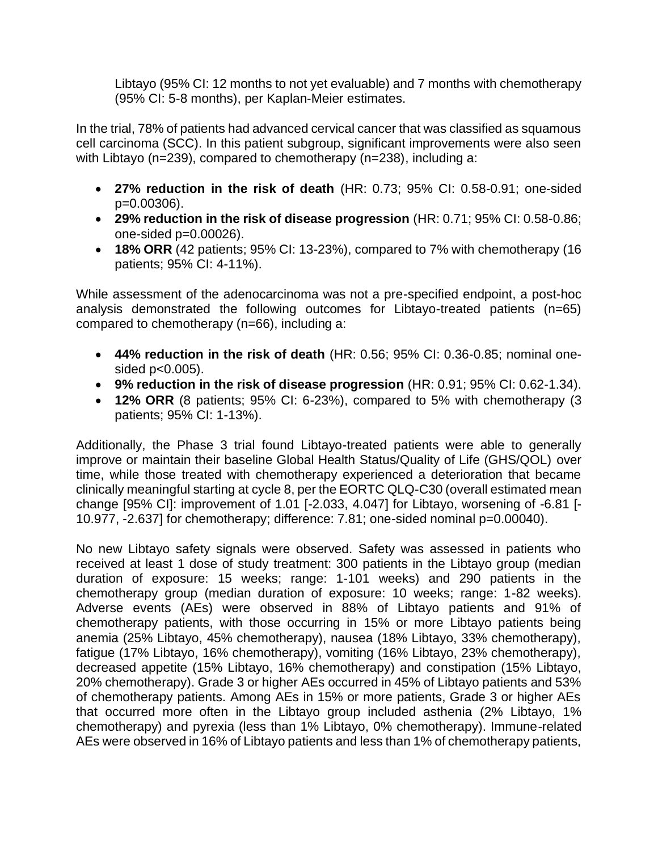Libtayo (95% CI: 12 months to not yet evaluable) and 7 months with chemotherapy (95% CI: 5-8 months), per Kaplan-Meier estimates.

In the trial, 78% of patients had advanced cervical cancer that was classified as squamous cell carcinoma (SCC). In this patient subgroup, significant improvements were also seen with Libtayo (n=239), compared to chemotherapy (n=238), including a:

- **27% reduction in the risk of death** (HR: 0.73; 95% CI: 0.58-0.91; one-sided p=0.00306).
- **29% reduction in the risk of disease progression** (HR: 0.71; 95% CI: 0.58-0.86; one-sided p=0.00026).
- **18% ORR** (42 patients; 95% CI: 13-23%), compared to 7% with chemotherapy (16 patients; 95% CI: 4-11%).

While assessment of the adenocarcinoma was not a pre-specified endpoint, a post-hoc analysis demonstrated the following outcomes for Libtayo-treated patients (n=65) compared to chemotherapy (n=66), including a:

- **44% reduction in the risk of death** (HR: 0.56; 95% CI: 0.36-0.85; nominal onesided p<0.005).
- **9% reduction in the risk of disease progression** (HR: 0.91; 95% CI: 0.62-1.34).
- **12% ORR** (8 patients; 95% CI: 6-23%), compared to 5% with chemotherapy (3 patients; 95% CI: 1-13%).

Additionally, the Phase 3 trial found Libtayo-treated patients were able to generally improve or maintain their baseline Global Health Status/Quality of Life (GHS/QOL) over time, while those treated with chemotherapy experienced a deterioration that became clinically meaningful starting at cycle 8, per the EORTC QLQ-C30 (overall estimated mean change [95% CI]: improvement of 1.01 [-2.033, 4.047] for Libtayo, worsening of -6.81 [- 10.977, -2.637] for chemotherapy; difference: 7.81; one-sided nominal p=0.00040).

No new Libtayo safety signals were observed. Safety was assessed in patients who received at least 1 dose of study treatment: 300 patients in the Libtayo group (median duration of exposure: 15 weeks; range: 1-101 weeks) and 290 patients in the chemotherapy group (median duration of exposure: 10 weeks; range: 1-82 weeks). Adverse events (AEs) were observed in 88% of Libtayo patients and 91% of chemotherapy patients, with those occurring in 15% or more Libtayo patients being anemia (25% Libtayo, 45% chemotherapy), nausea (18% Libtayo, 33% chemotherapy), fatigue (17% Libtayo, 16% chemotherapy), vomiting (16% Libtayo, 23% chemotherapy), decreased appetite (15% Libtayo, 16% chemotherapy) and constipation (15% Libtayo, 20% chemotherapy). Grade 3 or higher AEs occurred in 45% of Libtayo patients and 53% of chemotherapy patients. Among AEs in 15% or more patients, Grade 3 or higher AEs that occurred more often in the Libtayo group included asthenia (2% Libtayo, 1% chemotherapy) and pyrexia (less than 1% Libtayo, 0% chemotherapy). Immune-related AEs were observed in 16% of Libtayo patients and less than 1% of chemotherapy patients,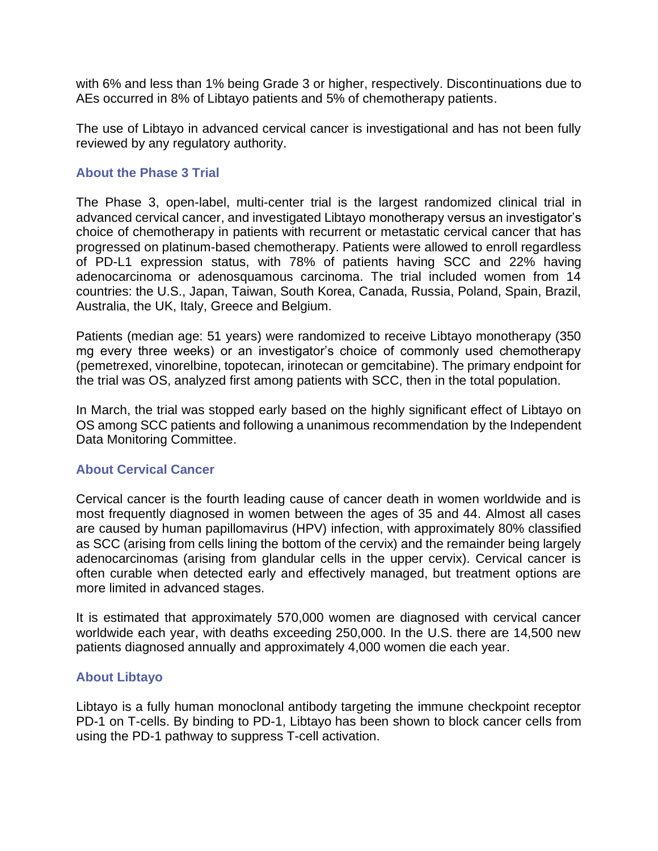with 6% and less than 1% being Grade 3 or higher, respectively. Discontinuations due to AEs occurred in 8% of Libtayo patients and 5% of chemotherapy patients.

The use of Libtayo in advanced cervical cancer is investigational and has not been fully reviewed by any regulatory authority.

# **About the Phase 3 Trial**

The Phase 3, open-label, multi-center trial is the largest randomized clinical trial in advanced cervical cancer, and investigated Libtayo monotherapy versus an investigator's choice of chemotherapy in patients with recurrent or metastatic cervical cancer that has progressed on platinum-based chemotherapy. Patients were allowed to enroll regardless of PD-L1 expression status, with 78% of patients having SCC and 22% having adenocarcinoma or adenosquamous carcinoma. The trial included women from 14 countries: the U.S., Japan, Taiwan, South Korea, Canada, Russia, Poland, Spain, Brazil, Australia, the UK, Italy, Greece and Belgium.

Patients (median age: 51 years) were randomized to receive Libtayo monotherapy (350 mg every three weeks) or an investigator's choice of commonly used chemotherapy (pemetrexed, vinorelbine, topotecan, irinotecan or gemcitabine). The primary endpoint for the trial was OS, analyzed first among patients with SCC, then in the total population.

In March, the trial was stopped early based on the highly significant effect of Libtayo on OS among SCC patients and following a unanimous recommendation by the Independent Data Monitoring Committee.

# **About Cervical Cancer**

Cervical cancer is the fourth leading cause of cancer death in women worldwide and is most frequently diagnosed in women between the ages of 35 and 44. Almost all cases are caused by human papillomavirus (HPV) infection, with approximately 80% classified as SCC (arising from cells lining the bottom of the cervix) and the remainder being largely adenocarcinomas (arising from glandular cells in the upper cervix). Cervical cancer is often curable when detected early and effectively managed, but treatment options are more limited in advanced stages.

It is estimated that approximately 570,000 women are diagnosed with cervical cancer worldwide each year, with deaths exceeding 250,000. In the U.S. there are 14,500 new patients diagnosed annually and approximately 4,000 women die each year.

# **About Libtayo**

Libtayo is a fully human monoclonal antibody targeting the immune checkpoint receptor PD-1 on T-cells. By binding to PD-1, Libtayo has been shown to block cancer cells from using the PD-1 pathway to suppress T-cell activation.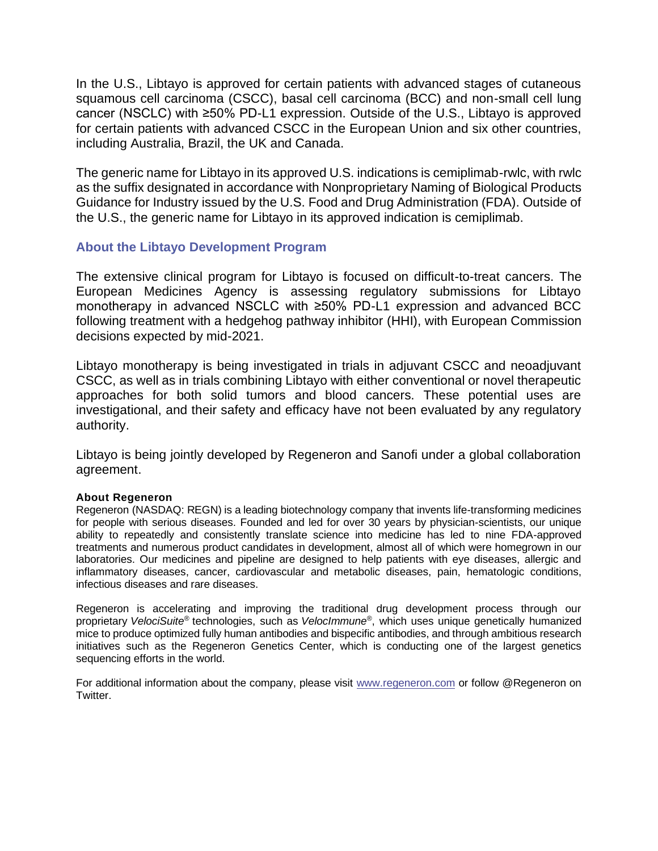In the U.S., Libtayo is approved for certain patients with advanced stages of cutaneous squamous cell carcinoma (CSCC), basal cell carcinoma (BCC) and non-small cell lung cancer (NSCLC) with ≥50% PD-L1 expression. Outside of the U.S., Libtayo is approved for certain patients with advanced CSCC in the European Union and six other countries, including Australia, Brazil, the UK and Canada.

The generic name for Libtayo in its approved U.S. indications is cemiplimab-rwlc, with rwlc as the suffix designated in accordance with Nonproprietary Naming of Biological Products Guidance for Industry issued by the U.S. Food and Drug Administration (FDA). Outside of the U.S., the generic name for Libtayo in its approved indication is cemiplimab.

# **About the Libtayo Development Program**

The extensive clinical program for Libtayo is focused on difficult-to-treat cancers. The European Medicines Agency is assessing regulatory submissions for Libtayo monotherapy in advanced NSCLC with ≥50% PD-L1 expression and advanced BCC following treatment with a hedgehog pathway inhibitor (HHI), with European Commission decisions expected by mid-2021.

Libtayo monotherapy is being investigated in trials in adjuvant CSCC and neoadjuvant CSCC, as well as in trials combining Libtayo with either conventional or novel therapeutic approaches for both solid tumors and blood cancers. These potential uses are investigational, and their safety and efficacy have not been evaluated by any regulatory authority.

Libtayo is being jointly developed by Regeneron and Sanofi under a global collaboration agreement.

### **About Regeneron**

Regeneron (NASDAQ: REGN) is a leading biotechnology company that invents life-transforming medicines for people with serious diseases. Founded and led for over 30 years by physician-scientists, our unique ability to repeatedly and consistently translate science into medicine has led to nine FDA-approved treatments and numerous product candidates in development, almost all of which were homegrown in our laboratories. Our medicines and pipeline are designed to help patients with eye diseases, allergic and inflammatory diseases, cancer, cardiovascular and metabolic diseases, pain, hematologic conditions, infectious diseases and rare diseases.

Regeneron is accelerating and improving the traditional drug development process through our proprietary *VelociSuite®* technologies, such as *VelocImmune®* , which uses unique genetically humanized mice to produce optimized fully human antibodies and bispecific antibodies, and through ambitious research initiatives such as the Regeneron Genetics Center, which is conducting one of the largest genetics sequencing efforts in the world.

For additional information about the company, please visit [www.regeneron.com](http://www.regeneron.com/) or follow @Regeneron on Twitter.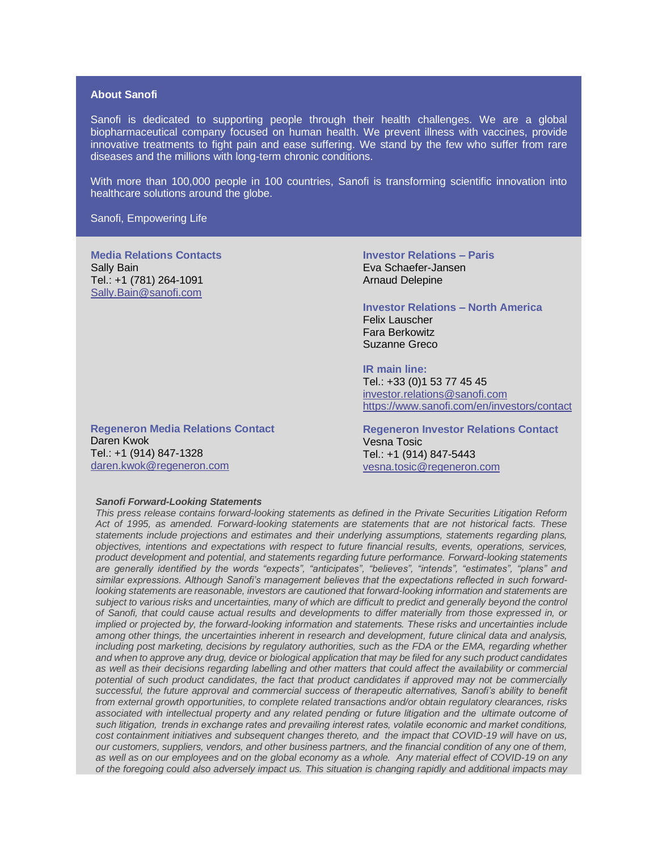### **About Sanofi**

Sanofi is dedicated to supporting people through their health challenges. We are a global biopharmaceutical company focused on human health. We prevent illness with vaccines, provide innovative treatments to fight pain and ease suffering. We stand by the few who suffer from rare diseases and the millions with long-term chronic conditions.

With more than 100,000 people in 100 countries, Sanofi is transforming scientific innovation into healthcare solutions around the globe.

### Sanofi, Empowering Life

**Media Relations Contacts** Sally Bain Tel.: +1 (781) 264-1091 [Sally.Bain@sanofi.com](mailto:Sally.Bain@sanofi.com)

**Investor Relations – Paris** Eva Schaefer-Jansen Arnaud Delepine

**Investor Relations – North America** Felix Lauscher Fara Berkowitz Suzanne Greco

**IR main line:** Tel.: +33 (0)1 53 77 45 45 [investor.relations@sanofi.com](mailto:investor.relations@sanofi.com) https://www.sanofi.com/en/investors/contact

**Regeneron Investor Relations Contact** Vesna Tosic Tel.: +1 (914) 847-5443 [vesna.tosic@regeneron.com](mailto:vesna.tosic@regeneron.com)

**Regeneron Media Relations Contact** Daren Kwok Tel.: +1 (914) 847-1328 daren.kwok@regeneron.com

#### *Sanofi Forward-Looking Statements*

*This press release contains forward-looking statements as defined in the Private Securities Litigation Reform Act of 1995, as amended. Forward-looking statements are statements that are not historical facts. These statements include projections and estimates and their underlying assumptions, statements regarding plans, objectives, intentions and expectations with respect to future financial results, events, operations, services, product development and potential, and statements regarding future performance. Forward-looking statements are generally identified by the words "expects", "anticipates", "believes", "intends", "estimates", "plans" and similar expressions. Although Sanofi's management believes that the expectations reflected in such forwardlooking statements are reasonable, investors are cautioned that forward-looking information and statements are* subject to various risks and uncertainties, many of which are difficult to predict and generally beyond the control *of Sanofi, that could cause actual results and developments to differ materially from those expressed in, or implied or projected by, the forward-looking information and statements. These risks and uncertainties include among other things, the uncertainties inherent in research and development, future clinical data and analysis, including post marketing, decisions by regulatory authorities, such as the FDA or the EMA, regarding whether and when to approve any drug, device or biological application that may be filed for any such product candidates*  as well as their decisions regarding labelling and other matters that could affect the availability or commercial *potential of such product candidates, the fact that product candidates if approved may not be commercially*  successful, the future approval and commercial success of therapeutic alternatives, Sanofi's ability to benefit *from external growth opportunities, to complete related transactions and/or obtain regulatory clearances, risks associated with intellectual property and any related pending or future litigation and the  ultimate outcome of such litigation,  trends in exchange rates and prevailing interest rates, volatile economic and market conditions, cost containment initiatives and subsequent changes thereto, and the impact that COVID-19 will have on us, our customers, suppliers, vendors, and other business partners, and the financial condition of any one of them, as well as on our employees and on the global economy as a whole. Any material effect of COVID-19 on any of the foregoing could also adversely impact us. This situation is changing rapidly and additional impacts may*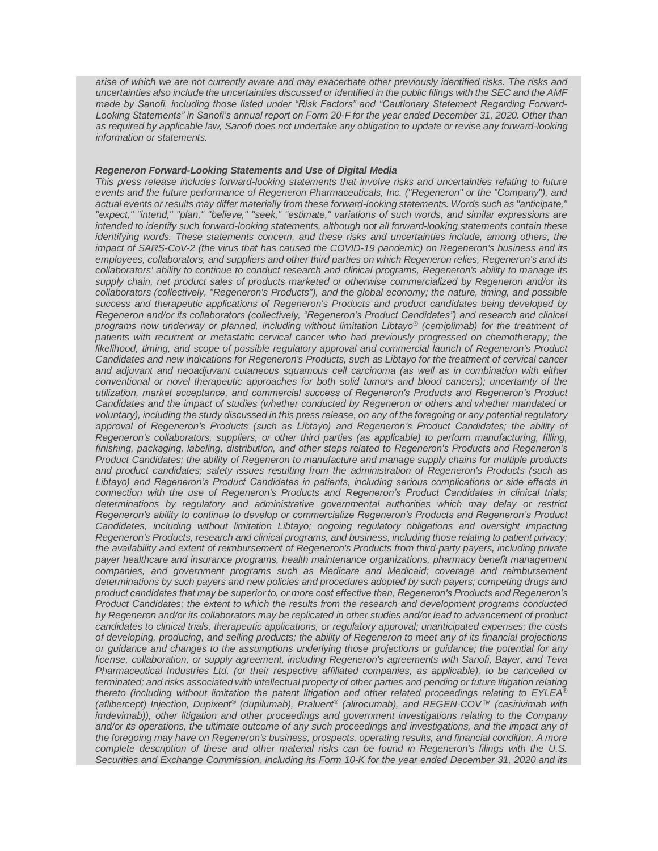*arise of which we are not currently aware and may exacerbate other previously identified risks. The risks and uncertainties also include the uncertainties discussed or identified in the public filings with the SEC and the AMF made by Sanofi, including those listed under "Risk Factors" and "Cautionary Statement Regarding Forward-Looking Statements" in Sanofi's annual report on Form 20-F for the year ended December 31, 2020. Other than*  as required by applicable law, Sanofi does not undertake any obligation to update or revise any forward-looking *information or statements.* 

#### *Regeneron Forward-Looking Statements and Use of Digital Media*

*This press release includes forward-looking statements that involve risks and uncertainties relating to future events and the future performance of Regeneron Pharmaceuticals, Inc. ("Regeneron" or the "Company"), and actual events or results may differ materially from these forward-looking statements. Words such as "anticipate," "expect," "intend," "plan," "believe," "seek," "estimate," variations of such words, and similar expressions are intended to identify such forward-looking statements, although not all forward-looking statements contain these identifying words. These statements concern, and these risks and uncertainties include, among others, the impact of SARS-CoV-2 (the virus that has caused the COVID-19 pandemic) on Regeneron's business and its employees, collaborators, and suppliers and other third parties on which Regeneron relies, Regeneron's and its collaborators' ability to continue to conduct research and clinical programs, Regeneron's ability to manage its supply chain, net product sales of products marketed or otherwise commercialized by Regeneron and/or its collaborators (collectively, "Regeneron's Products"), and the global economy; the nature, timing, and possible success and therapeutic applications of Regeneron's Products and product candidates being developed by Regeneron and/or its collaborators (collectively, "Regeneron's Product Candidates") and research and clinical programs now underway or planned, including without limitation Libtayo® (cemiplimab) for the treatment of patients with recurrent or metastatic cervical cancer who had previously progressed on chemotherapy; the likelihood, timing, and scope of possible regulatory approval and commercial launch of Regeneron's Product Candidates and new indications for Regeneron's Products, such as Libtayo for the treatment of cervical cancer and adjuvant and neoadjuvant cutaneous squamous cell carcinoma (as well as in combination with either conventional or novel therapeutic approaches for both solid tumors and blood cancers); uncertainty of the utilization, market acceptance, and commercial success of Regeneron's Products and Regeneron's Product Candidates and the impact of studies (whether conducted by Regeneron or others and whether mandated or voluntary), including the study discussed in this press release, on any of the foregoing or any potential regulatory*  approval of Regeneron's Products (such as Libtayo) and Regeneron's Product Candidates; the ability of *Regeneron's collaborators, suppliers, or other third parties (as applicable) to perform manufacturing, filling, finishing, packaging, labeling, distribution, and other steps related to Regeneron's Products and Regeneron's Product Candidates; the ability of Regeneron to manufacture and manage supply chains for multiple products and product candidates; safety issues resulting from the administration of Regeneron's Products (such as Libtayo) and Regeneron's Product Candidates in patients, including serious complications or side effects in connection with the use of Regeneron's Products and Regeneron's Product Candidates in clinical trials; determinations by regulatory and administrative governmental authorities which may delay or restrict Regeneron's ability to continue to develop or commercialize Regeneron's Products and Regeneron's Product Candidates, including without limitation Libtayo; ongoing regulatory obligations and oversight impacting Regeneron's Products, research and clinical programs, and business, including those relating to patient privacy; the availability and extent of reimbursement of Regeneron's Products from third-party payers, including private payer healthcare and insurance programs, health maintenance organizations, pharmacy benefit management companies, and government programs such as Medicare and Medicaid; coverage and reimbursement determinations by such payers and new policies and procedures adopted by such payers; competing drugs and product candidates that may be superior to, or more cost effective than, Regeneron's Products and Regeneron's Product Candidates; the extent to which the results from the research and development programs conducted by Regeneron and/or its collaborators may be replicated in other studies and/or lead to advancement of product candidates to clinical trials, therapeutic applications, or regulatory approval; unanticipated expenses; the costs of developing, producing, and selling products; the ability of Regeneron to meet any of its financial projections or guidance and changes to the assumptions underlying those projections or guidance; the potential for any license, collaboration, or supply agreement, including Regeneron's agreements with Sanofi, Bayer, and Teva Pharmaceutical Industries Ltd. (or their respective affiliated companies, as applicable), to be cancelled or*  terminated; and risks associated with intellectual property of other parties and pending or future litigation relating *thereto (including without limitation the patent litigation and other related proceedings relating to EYLEA® (aflibercept) Injection, Dupixent® (dupilumab), Praluent® (alirocumab), and REGEN-COV™ (casirivimab with imdevimab)), other litigation and other proceedings and government investigations relating to the Company*  and/or its operations, the ultimate outcome of any such proceedings and investigations, and the impact any of *the foregoing may have on Regeneron's business, prospects, operating results, and financial condition. A more complete description of these and other material risks can be found in Regeneron's filings with the U.S. Securities and Exchange Commission, including its Form 10-K for the year ended December 31, 2020 and its*